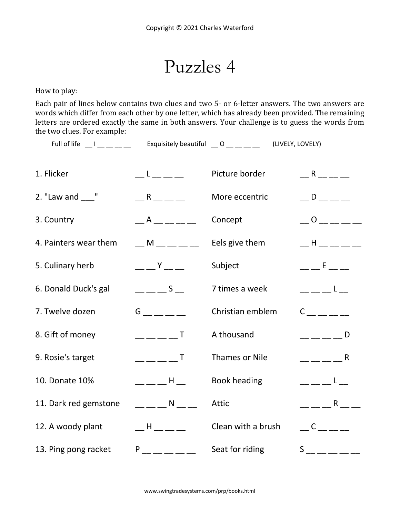Puzzles 4

How to play:

Each pair of lines below contains two clues and two 5- or 6-letter answers. The two answers are words which differ from each other by one letter, which has already been provided. The remaining letters are ordered exactly the same in both answers. Your challenge is to guess the words from the two clues. For example:

Full of life less and the sequisitely beautiful and the control of the control of the control of the control o

| 1. Flicker                  | $L = L$                                                                                                                                                                                                                                                            | Picture border      | $R_{\rm{}}-R_{\rm{}}-$                                                                                                                                                                                                                                                                                      |
|-----------------------------|--------------------------------------------------------------------------------------------------------------------------------------------------------------------------------------------------------------------------------------------------------------------|---------------------|-------------------------------------------------------------------------------------------------------------------------------------------------------------------------------------------------------------------------------------------------------------------------------------------------------------|
| 2. "Law and $\frac{1}{2}$ " | $R$ <sub>---</sub> -                                                                                                                                                                                                                                               | More eccentric      | $\overline{\phantom{a}}$ D $\overline{\phantom{a}}$                                                                                                                                                                                                                                                         |
| 3. Country                  | A                                                                                                                                                                                                                                                                  | Concept             | $-0$ — — — —                                                                                                                                                                                                                                                                                                |
| 4. Painters wear them       | $-M$ _ _ _ _ _                                                                                                                                                                                                                                                     | Eels give them      |                                                                                                                                                                                                                                                                                                             |
| 5. Culinary herb            | $  \frac{Y}{Y}$ $ -$                                                                                                                                                                                                                                               | Subject             | $-  E$ $- -$                                                                                                                                                                                                                                                                                                |
| 6. Donald Duck's gal        | $   S$ $-$                                                                                                                                                                                                                                                         | 7 times a week      | __ __ __ L __                                                                                                                                                                                                                                                                                               |
| 7. Twelve dozen             |                                                                                                                                                                                                                                                                    | Christian emblem    | $C \qquad \qquad \qquad \qquad$                                                                                                                                                                                                                                                                             |
| 8. Gift of money            | $--- - T$                                                                                                                                                                                                                                                          | A thousand          | $--      0$                                                                                                                                                                                                                                                                                                 |
| 9. Rosie's target           | $---T$                                                                                                                                                                                                                                                             | Thames or Nile      | $    R$                                                                                                                                                                                                                                                                                                     |
| 10. Donate 10%              | $\_\_$ $\_\_$ $\_\_$ $\_\_$ $\_\_$ $\_\_$ $\_\_$ $\_\_$ $\_\_$ $\_\_$ $\_\_$ $\_\_$ $\_\_$ $\_\_$ $\_\_$ $\_\_$ $\_\_$ $\_\_$ $\_\_$ $\_\_$ $\_\_$ $\_\_$ $\_\_$ $\_\_$ $\_\_$ $\_\_$ $\_\_$ $\_\_$ $\_\_$ $\_\_$ $\_\_$ $\_\_$ $\_\_$ $\_\_$ $\_\_$ $\_\_$ $\_\_$ | <b>Book heading</b> | $\mathbf{L} = \mathbf{L}$ , $\mathbf{L} = \mathbf{L}$                                                                                                                                                                                                                                                       |
| 11. Dark red gemstone       | $   N$ $ -$                                                                                                                                                                                                                                                        | Attic               | $R \sim 1$                                                                                                                                                                                                                                                                                                  |
| 12. A woody plant           | $-H$ $\_\_$                                                                                                                                                                                                                                                        | Clean with a brush  |                                                                                                                                                                                                                                                                                                             |
| 13. Ping pong racket        |                                                                                                                                                                                                                                                                    | Seat for riding     | $S_{\frac{1}{2}}$ = $\frac{1}{2}$ = $\frac{1}{2}$ = $\frac{1}{2}$ = $\frac{1}{2}$ = $\frac{1}{2}$ = $\frac{1}{2}$ = $\frac{1}{2}$ = $\frac{1}{2}$ = $\frac{1}{2}$ = $\frac{1}{2}$ = $\frac{1}{2}$ = $\frac{1}{2}$ = $\frac{1}{2}$ = $\frac{1}{2}$ = $\frac{1}{2}$ = $\frac{1}{2}$ = $\frac{1}{2}$ = $\frac$ |